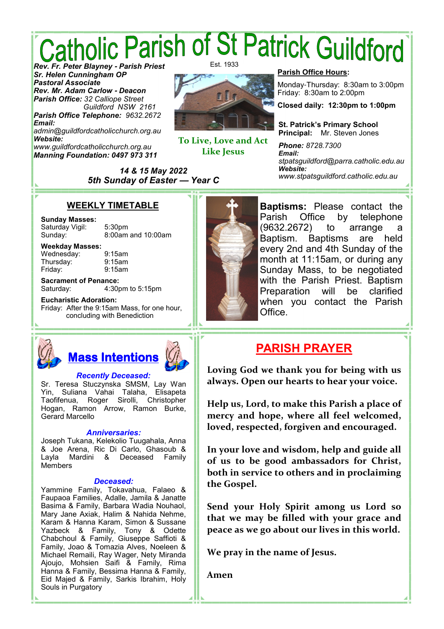# *Catholic Parish of St Patrick Guildford<br>Rev. Er. Peter Blayney - Parish Priest* Est. 1933

*Sr. Helen Cunningham OP Pastoral Associate Rev. Mr. Adam Carlow* **-** *Deacon Parish Office: 32 Calliope Street Guildford NSW 2161 Parish Office Telephone: 9632.2672*

*Email: admin@guildfordcatholicchurch.org.au Website: www.guildfordcatholicchurch.org.au Manning Foundation: 0497 973 311*



**To Live, Love and Act Like Jesus** 

#### **Parish Office Hours:**

Monday-Thursday: 8:30am to 3:00pm Friday: 8:30am to 2:00pm

**Closed daily: 12:30pm to 1:00pm**

**St. Patrick's Primary School Principal:** Mr. Steven Jones

*Phone: 8728.7300 Email: stpatsguildford@parra.catholic.edu.au Website: www.stpatsguildford.catholic.edu.au*

### **WEEKLY TIMETABLE**

*14 & 15 May 2022 5th Sunday of Easter* **—** *Year C*

### **Sunday Masses:**

Saturday Vigil: 5:30pm Sunday: 8:00am and 10:00am

**Weekday Masses:** Wednesday: 9:15am Thursday: 9:15am Friday: 9:15am

**Sacrament of Penance:** Saturday: 4:30pm to 5:15pm

**Eucharistic Adoration:** Friday: After the 9:15am Mass, for one hour, concluding with Benediction



**Baptisms:** Please contact the Parish Office by telephone (9632.2672) to arrange a Baptism. Baptisms are held every 2nd and 4th Sunday of the month at 11:15am, or during any Sunday Mass, to be negotiated with the Parish Priest. Baptism Preparation will be clarified when you contact the Parish Office.

### **PARISH PRAYER**

**Loving God we thank you for being with us always. Open our hearts to hear your voice.** 

**Help us, Lord, to make this Parish a place of mercy and hope, where all feel welcomed, loved, respected, forgiven and encouraged.** 

**In your love and wisdom, help and guide all of us to be good ambassadors for Christ, both in service to others and in proclaiming the Gospel.** 

**Send your Holy Spirit among us Lord so that we may be filled with your grace and peace as we go about our lives in this world.** 

**We pray in the name of Jesus.** 

**Amen** 

*Recently Deceased:*

**Mass Intentions**

Sr. Teresa Stuczynska SMSM, Lay Wan Yin, Suliana Vahai Talaha, Elisapeta Taofifenua, Roger Sirolli, Christopher Hogan, Ramon Arrow, Ramon Burke, Gerard Marcello

### *Anniversaries:*

Joseph Tukana, Kelekolio Tuugahala, Anna & Joe Arena, Ric Di Carlo, Ghasoub & Layla Mardini & Deceased Family Members

#### *Deceased:*

Yammine Family, Tokavahua, Falaeo & Faupaoa Families, Adalle, Jamila & Janatte Basima & Family, Barbara Wadia Nouhaol, Mary Jane Axiak, Halim & Nahida Nehme, Karam & Hanna Karam, Simon & Sussane Yazbeck & Family, Tony & Odette Chabchoul & Family, Giuseppe Saffioti & Family, Joao & Tomazia Alves, Noeleen & Michael Remaili, Ray Wager, Nety Miranda Ajoujo, Mohsien Saifi & Family, Rima Hanna & Family, Bessima Hanna & Family, Eid Majed & Family, Sarkis Ibrahim, Holy Souls in Purgatory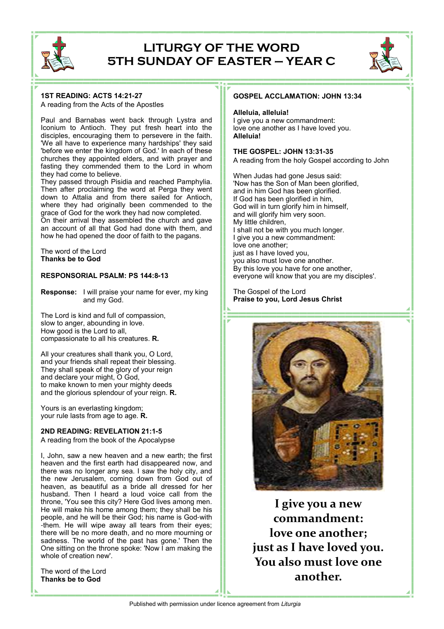

### **LITURGY OF THE WORD 5TH SUNDAY OF EASTER — YEAR C**



A reading from the Acts of the Apostles

Paul and Barnabas went back through Lystra and Iconium to Antioch. They put fresh heart into the disciples, encouraging them to persevere in the faith. 'We all have to experience many hardships' they said 'before we enter the kingdom of God.' In each of these churches they appointed elders, and with prayer and fasting they commended them to the Lord in whom they had come to believe.

They passed through Pisidia and reached Pamphylia. Then after proclaiming the word at Perga they went down to Attalia and from there sailed for Antioch, where they had originally been commended to the grace of God for the work they had now completed. On their arrival they assembled the church and gave

an account of all that God had done with them, and how he had opened the door of faith to the pagans.

The word of the Lord **Thanks be to God**

#### **RESPONSORIAL PSALM: PS 144:8-13**

**Response:** I will praise your name for ever, my king and my God.

The Lord is kind and full of compassion, slow to anger, abounding in love. How good is the Lord to all, compassionate to all his creatures. **R.**

All your creatures shall thank you, O Lord, and your friends shall repeat their blessing. They shall speak of the glory of your reign and declare your might, O God, to make known to men your mighty deeds and the glorious splendour of your reign. **R.**

Yours is an everlasting kingdom; your rule lasts from age to age. **R.**

#### **2ND READING: REVELATION 21:1-5**

A reading from the book of the Apocalypse

I, John, saw a new heaven and a new earth; the first heaven and the first earth had disappeared now, and there was no longer any sea. I saw the holy city, and the new Jerusalem, coming down from God out of heaven, as beautiful as a bride all dressed for her husband. Then I heard a loud voice call from the throne, 'You see this city? Here God lives among men. He will make his home among them; they shall be his people, and he will be their God; his name is God-with -them. He will wipe away all tears from their eyes; there will be no more death, and no more mourning or sadness. The world of the past has gone.' Then the One sitting on the throne spoke: 'Now I am making the whole of creation new'.

The word of the Lord **Thanks be to God**

#### **GOSPEL ACCLAMATION: JOHN 13:34**

#### **Alleluia, alleluia!**

I give you a new commandment: love one another as I have loved you. **Alleluia!**

#### **THE GOSPEL: JOHN 13:31-35**

A reading from the holy Gospel according to John

When Judas had gone Jesus said: 'Now has the Son of Man been glorified, and in him God has been glorified. If God has been glorified in him, God will in turn glorify him in himself, and will glorify him very soon. My little children, I shall not be with you much longer. I give you a new commandment: love one another; just as I have loved you, you also must love one another. By this love you have for one another, everyone will know that you are my disciples'.

The Gospel of the Lord **Praise to you, Lord Jesus Christ**



**I give you a new commandment: love one another; just as I have loved you. You also must love one another.**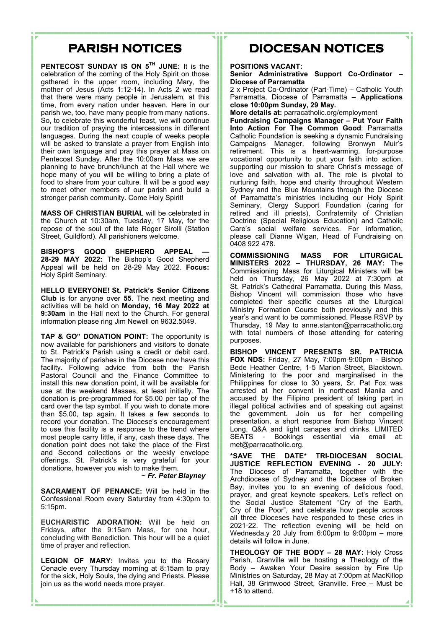### **PARISH NOTICES**

**PENTECOST SUNDAY IS ON 5TH JUNE:** It is the celebration of the coming of the Holy Spirit on those gathered in the upper room, including Mary, the mother of Jesus (Acts 1:12-14). In Acts 2 we read that there were many people in Jerusalem, at this time, from every nation under heaven. Here in our parish we, too, have many people from many nations. So, to celebrate this wonderful feast, we will continue our tradition of praying the intercessions in different languages. During the next couple of weeks people will be asked to translate a prayer from English into their own language and pray this prayer at Mass on Pentecost Sunday. After the 10:00am Mass we are planning to have brunch/lunch at the Hall where we hope many of you will be willing to bring a plate of food to share from your culture. It will be a good way to meet other members of our parish and build a stronger parish community. Come Holy Spirit!

**MASS OF CHRISTIAN BURIAL** will be celebrated in the Church at 10:30am, Tuesday, 17 May, for the repose of the soul of the late Roger Sirolli (Station Street, Guildford). All parishioners welcome.

**BISHOP'S GOOD SHEPHERD APPEAL — 28-29 MAY 2022:** The Bishop's Good Shepherd Appeal will be held on 28-29 May 2022. **Focus:** Holy Spirit Seminary.

**HELLO EVERYONE! St. Patrick's Senior Citizens Club** is for anyone over **55**. The next meeting and activities will be held on **Monday, 16 May 2022 at 9:30am** in the Hall next to the Church. For general information please ring Jim Newell on 9632.5049.

**TAP & GO" DONATION POINT:** The opportunity is now available for parishioners and visitors to donate to St. Patrick's Parish using a credit or debit card. The majority of parishes in the Diocese now have this facility. Following advice from both the Parish Pastoral Council and the Finance Committee to install this new donation point, it will be available for use at the weekend Masses, at least initially. The donation is pre-programmed for \$5.00 per tap of the card over the tap symbol. If you wish to donate more than \$5.00, tap again. It takes a few seconds to record your donation. The Diocese's encouragement to use this facility is a response to the trend where most people carry little, if any, cash these days. The donation point does not take the place of the First and Second collections or the weekly envelope offerings. St. Patrick's is very grateful for your donations, however you wish to make them.

~ *Fr. Peter Blayney*

**SACRAMENT OF PENANCE:** Will be held in the Confessional Room every Saturday from 4:30pm to 5:15pm.

**EUCHARISTIC ADORATION:** Will be held on Fridays, after the 9:15am Mass, for one hour, concluding with Benediction. This hour will be a quiet time of prayer and reflection.

**LEGION OF MARY:** Invites you to the Rosary Cenacle every Thursday morning at 8:15am to pray for the sick, Holy Souls, the dying and Priests. Please join us as the world needs more prayer.

## **DIOCESAN NOTICES**

#### **POSITIONS VACANT:**

**Senior Administrative Support Co-Ordinator – Diocese of Parramatta**

2 x Project Co-Ordinator (Part-Time) – Catholic Youth Parramatta, Diocese of Parramatta – **Applications close 10:00pm Sunday, 29 May.**

**More details at:** parracatholic.org/employment

**Fundraising Campaigns Manager – Put Your Faith Into Action For The Common Good**: Parramatta Catholic Foundation is seeking a dynamic Fundraising Campaigns Manager, following Bronwyn Muir's retirement. This is a heart-warming, for-purpose vocational opportunity to put your faith into action, supporting our mission to share Christ's message of love and salvation with all. The role is pivotal to nurturing faith, hope and charity throughout Western Sydney and the Blue Mountains through the Diocese of Parramatta's ministries including our Holy Spirit Seminary, Clergy Support Foundation (caring for retired and ill priests), Confraternity of Christian Doctrine (Special Religious Education) and Catholic Care's social welfare services. For information, please call Dianne Wigan, Head of Fundraising on 0408 922 478.

**COMMISSIONING MASS FOR LITURGICAL MINISTERS 2022 – THURSDAY, 26 MAY:** The Commissioning Mass for Liturgical Ministers will be held on Thursday, 26 May 2022 at 7:30pm at St. Patrick's Cathedral Parramatta. During this Mass, Bishop Vincent will commission those who have completed their specific courses at the Liturgical Ministry Formation Course both previously and this year's and want to be commissioned. Please RSVP by Thursday, 19 May to anne.stanton@parracatholic.org with total numbers of those attending for catering purposes.

**BISHOP VINCENT PRESENTS SR. PATRICIA FOX NDS:** Friday, 27 May, 7:00pm-9:00pm - Bishop Bede Heather Centre, 1-5 Marion Street, Blacktown. Ministering to the poor and marginalised in the Philippines for close to 30 years, Sr. Pat Fox was arrested at her convent in northeast Manila and accused by the Filipino president of taking part in illegal political activities and of speaking out against the government. Join us for her compelling presentation, a short response from Bishop Vincent Long, Q&A and light canapes and drinks. LIMITED SEATS - Bookings essential via email at: met@parracatholic.org.

**\*SAVE THE DATE\* TRI-DIOCESAN SOCIAL JUSTICE REFLECTION EVENING - 20 JULY:** The Diocese of Parramatta, together with the Archdiocese of Sydney and the Diocese of Broken Bay, invites you to an evening of delicious food, prayer, and great keynote speakers. Let's reflect on the Social Justice Statement "Cry of the Earth, Cry of the Poor", and celebrate how people across all three Dioceses have responded to these cries in 2021-22. The reflection evening will be held on Wednesda,y 20 July from 6:00pm to 9:00pm – more details will follow in June.

**THEOLOGY OF THE BODY – 28 MAY:** Holy Cross Parish, Granville will be hosting a Theology of the Body – Awaken Your Desire session by Fire Up Ministries on Saturday, 28 May at 7:00pm at MacKillop Hall, 38 Grimwood Street, Granville. Free – Must be +18 to attend.